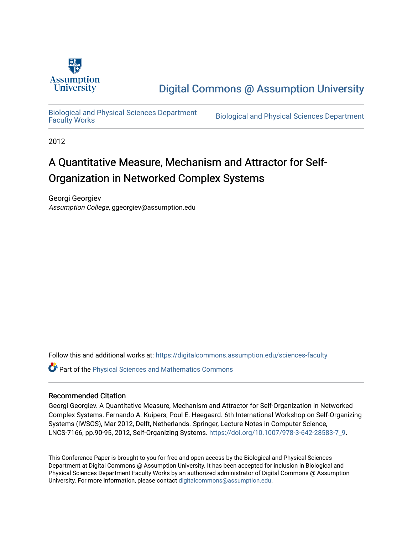

# [Digital Commons @ Assumption University](https://digitalcommons.assumption.edu/)

[Biological and Physical Sciences Department](https://digitalcommons.assumption.edu/sciences-faculty)

Biological and Physical Sciences Department

2012

# A Quantitative Measure, Mechanism and Attractor for Self-Organization in Networked Complex Systems

Georgi Georgiev Assumption College, ggeorgiev@assumption.edu

Follow this and additional works at: [https://digitalcommons.assumption.edu/sciences-faculty](https://digitalcommons.assumption.edu/sciences-faculty?utm_source=digitalcommons.assumption.edu%2Fsciences-faculty%2F11&utm_medium=PDF&utm_campaign=PDFCoverPages) 

**C** Part of the Physical Sciences and Mathematics Commons

# Recommended Citation

Georgi Georgiev. A Quantitative Measure, Mechanism and Attractor for Self-Organization in Networked Complex Systems. Fernando A. Kuipers; Poul E. Heegaard. 6th International Workshop on Self-Organizing Systems (IWSOS), Mar 2012, Delft, Netherlands. Springer, Lecture Notes in Computer Science, LNCS-7166, pp.90-95, 2012, Self-Organizing Systems. [https://doi.org/10.1007/978-3-642-28583-7\\_9.](https://doi.org/10.1007/978-3-642-28583-7_9)

This Conference Paper is brought to you for free and open access by the Biological and Physical Sciences Department at Digital Commons @ Assumption University. It has been accepted for inclusion in Biological and Physical Sciences Department Faculty Works by an authorized administrator of Digital Commons @ Assumption University. For more information, please contact [digitalcommons@assumption.edu](mailto:digitalcommons@assumption.edu).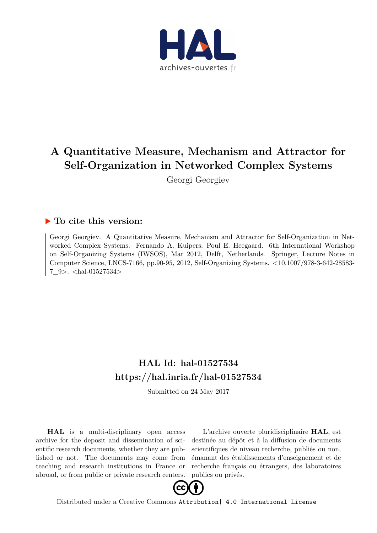

# **A Quantitative Measure, Mechanism and Attractor for Self-Organization in Networked Complex Systems**

Georgi Georgiev

# **To cite this version:**

Georgi Georgiev. A Quantitative Measure, Mechanism and Attractor for Self-Organization in Networked Complex Systems. Fernando A. Kuipers; Poul E. Heegaard. 6th International Workshop on Self-Organizing Systems (IWSOS), Mar 2012, Delft, Netherlands. Springer, Lecture Notes in Computer Science, LNCS-7166, pp.90-95, 2012, Self-Organizing Systems. <10.1007/978-3-642-28583- 7\_9>. <hal-01527534>

# **HAL Id: hal-01527534 <https://hal.inria.fr/hal-01527534>**

Submitted on 24 May 2017

**HAL** is a multi-disciplinary open access archive for the deposit and dissemination of scientific research documents, whether they are published or not. The documents may come from teaching and research institutions in France or abroad, or from public or private research centers.

L'archive ouverte pluridisciplinaire **HAL**, est destinée au dépôt et à la diffusion de documents scientifiques de niveau recherche, publiés ou non, émanant des établissements d'enseignement et de recherche français ou étrangers, des laboratoires publics ou privés.



Distributed under a Creative Commons [Attribution| 4.0 International License](http://creativecommons.org/licenses/by/4.0/)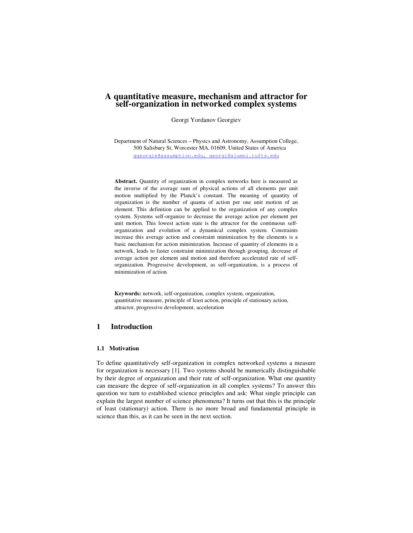# **A quantitative measure, mechanism and attractor for self-organization in networked complex systems**

Georgi Yordanov Georgiev

Department of Natural Sciences – Physics and Astronomy, Assumption College, 500 Salisbury St, Worcester MA, 01609, United States of America ggeorgie@assumption.edu, georgi@alumni.tufts.edu

**Abstract.** Quantity of organization in complex networks here is measured as the inverse of the average sum of physical actions of all elements per unit motion multiplied by the Planck's constant. The meaning of quantity of organization is the number of quanta of action per one unit motion of an element. This definition can be applied to the organization of any complex system. Systems self-organize to decrease the average action per element per unit motion. This lowest action state is the attractor for the continuous selforganization and evolution of a dynamical complex system. Constraints increase this average action and constraint minimization by the elements is a basic mechanism for action minimization. Increase of quantity of elements in a network, leads to faster constraint minimization through grouping, decrease of average action per element and motion and therefore accelerated rate of selforganization. Progressive development, as self-organization, is a process of minimization of action.

**Keywords:** network, self-organization, complex system, organization, quantitative measure, principle of least action, principle of stationary action, attractor, progressive development, acceleration

# **1 Introduction**

#### **1.1 Motivation**

To define quantitatively self-organization in complex networked systems a measure for organization is necessary [1]. Two systems should be numerically distinguishable by their degree of organization and their rate of self-organization. What one quantity can measure the degree of self-organization in all complex systems? To answer this question we turn to established science principles and ask: What single principle can explain the largest number of science phenomena? It turns out that this is the principle of least (stationary) action. There is no more broad and fundamental principle in science than this, as it can be seen in the next section.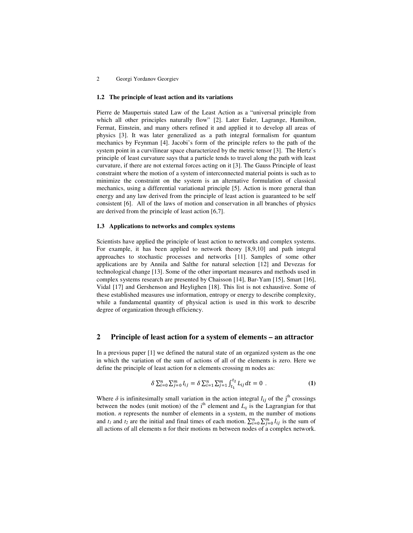#### 2 Georgi Yordanov Georgiev

#### **1.2 The principle of least action and its variations**

Pierre de Maupertuis stated Law of the Least Action as a "universal principle from which all other principles naturally flow" [2]. Later Euler, Lagrange, Hamilton, Fermat, Einstein, and many others refined it and applied it to develop all areas of physics [3]. It was later generalized as a path integral formalism for quantum mechanics by Feynman [4]. Jacobi's form of the principle refers to the path of the system point in a curvilinear space characterized by the metric tensor [3]. The Hertz's principle of least curvature says that a particle tends to travel along the path with least curvature, if there are not external forces acting on it [3]. The Gauss Principle of least constraint where the motion of a system of interconnected material points is such as to minimize the constraint on the system is an alternative formulation of classical mechanics, using a differential variational principle [5]. Action is more general than energy and any law derived from the principle of least action is guaranteed to be self consistent [6]. All of the laws of motion and conservation in all branches of physics are derived from the principle of least action [6,7].

#### **1.3 Applications to networks and complex systems**

Scientists have applied the principle of least action to networks and complex systems. For example, it has been applied to network theory [8,9,10] and path integral approaches to stochastic processes and networks [11]. Samples of some other applications are by Annila and Salthe for natural selection [12] and Devezas for technological change [13]. Some of the other important measures and methods used in complex systems research are presented by Chaisson [14], Bar-Yam [15], Smart [16], Vidal [17] and Gershenson and Heylighen [18]. This list is not exhaustive. Some of these established measures use information, entropy or energy to describe complexity, while a fundamental quantity of physical action is used in this work to describe degree of organization through efficiency.

### **2 Principle of least action for a system of elements – an attractor**

In a previous paper [1] we defined the natural state of an organized system as the one in which the variation of the sum of actions of all of the elements is zero. Here we define the principle of least action for n elements crossing m nodes as:

$$
\delta \sum_{i=0}^{n} \sum_{j=0}^{m} I_{ij} = \delta \sum_{i=1}^{n} \sum_{j=1}^{m} \int_{t_1}^{t_2} L_{ij} dt = 0
$$
 (1)

Where  $\delta$  is infinitesimally small variation in the action integral  $I_{ij}$  of the j<sup>th</sup> crossings between the nodes (unit motion) of the i<sup>th</sup> element and  $L_{ii}$  is the Lagrangian for that motion. *n* represents the number of elements in a system, m the number of motions and  $t_1$  and  $t_2$  are the initial and final times of each motion.  $\sum_{i=0}^{n} \sum_{j=0}^{m} I_{ij}$  is the sum of all actions of all elements n for their motions m between nodes of a complex network.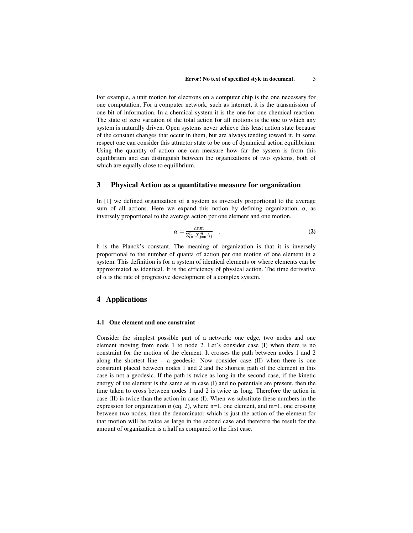For example, a unit motion for electrons on a computer chip is the one necessary for one computation. For a computer network, such as internet, it is the transmission of one bit of information. In a chemical system it is the one for one chemical reaction. The state of zero variation of the total action for all motions is the one to which any system is naturally driven. Open systems never achieve this least action state because of the constant changes that occur in them, but are always tending toward it. In some respect one can consider this attractor state to be one of dynamical action equilibrium. Using the quantity of action one can measure how far the system is from this equilibrium and can distinguish between the organizations of two systems, both of which are equally close to equilibrium.

# **3 Physical Action as a quantitative measure for organization**

In [1] we defined organization of a system as inversely proportional to the average sum of all actions. Here we expand this notion by defining organization,  $\alpha$ , as inversely proportional to the average action per one element and one motion.

$$
\alpha = \frac{hnm}{\sum_{i=0}^{n} \sum_{j=0}^{m} l_{ij}} \qquad (2)
$$

h is the Planck's constant. The meaning of organization is that it is inversely proportional to the number of quanta of action per one motion of one element in a system. This definition is for a system of identical elements or where elements can be approximated as identical. It is the efficiency of physical action. The time derivative of  $\alpha$  is the rate of progressive development of a complex system.

# **4 Applications**

### **4.1 One element and one constraint**

Consider the simplest possible part of a network: one edge, two nodes and one element moving from node 1 to node 2. Let's consider case (I) when there is no constraint for the motion of the element. It crosses the path between nodes 1 and 2 along the shortest line – a geodesic. Now consider case  $(II)$  when there is one constraint placed between nodes 1 and 2 and the shortest path of the element in this case is not a geodesic. If the path is twice as long in the second case, if the kinetic energy of the element is the same as in case (I) and no potentials are present, then the time taken to cross between nodes 1 and 2 is twice as long. Therefore the action in case  $(II)$  is twice than the action in case  $(I)$ . When we substitute these numbers in the expression for organization  $\alpha$  (eq. 2), where n=1, one element, and m=1, one crossing between two nodes, then the denominator which is just the action of the element for that motion will be twice as large in the second case and therefore the result for the amount of organization is a half as compared to the first case.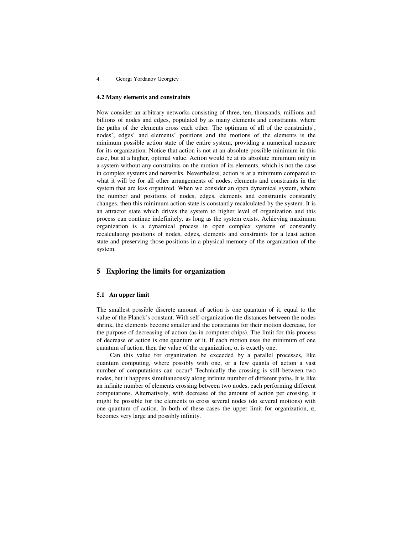#### 4 Georgi Yordanov Georgiev

#### **4.2 Many elements and constraints**

Now consider an arbitrary networks consisting of three, ten, thousands, millions and billions of nodes and edges, populated by as many elements and constraints, where the paths of the elements cross each other. The optimum of all of the constraints', nodes', edges' and elements' positions and the motions of the elements is the minimum possible action state of the entire system, providing a numerical measure for its organization. Notice that action is not at an absolute possible minimum in this case, but at a higher, optimal value. Action would be at its absolute minimum only in a system without any constraints on the motion of its elements, which is not the case in complex systems and networks. Nevertheless, action is at a minimum compared to what it will be for all other arrangements of nodes, elements and constraints in the system that are less organized. When we consider an open dynamical system, where the number and positions of nodes, edges, elements and constraints constantly changes, then this minimum action state is constantly recalculated by the system. It is an attractor state which drives the system to higher level of organization and this process can continue indefinitely, as long as the system exists. Achieving maximum organization is a dynamical process in open complex systems of constantly recalculating positions of nodes, edges, elements and constraints for a least action state and preserving those positions in a physical memory of the organization of the system.

### **5 Exploring the limits for organization**

#### **5.1 An upper limit**

The smallest possible discrete amount of action is one quantum of it, equal to the value of the Planck's constant. With self-organization the distances between the nodes shrink, the elements become smaller and the constraints for their motion decrease, for the purpose of decreasing of action (as in computer chips). The limit for this process of decrease of action is one quantum of it. If each motion uses the minimum of one quantum of action, then the value of the organization,  $\alpha$ , is exactly one.

 Can this value for organization be exceeded by a parallel processes, like quantum computing, where possibly with one, or a few quanta of action a vast number of computations can occur? Technically the crossing is still between two nodes, but it happens simultaneously along infinite number of different paths. It is like an infinite number of elements crossing between two nodes, each performing different computations. Alternatively, with decrease of the amount of action per crossing, it might be possible for the elements to cross several nodes (do several motions) with one quantum of action. In both of these cases the upper limit for organization,  $\alpha$ , becomes very large and possibly infinity.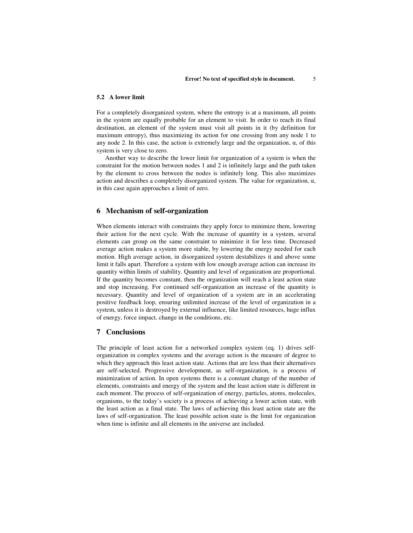#### **5.2 A lower limit**

For a completely disorganized system, where the entropy is at a maximum, all points in the system are equally probable for an element to visit. In order to reach its final destination, an element of the system must visit all points in it (by definition for maximum entropy), thus maximizing its action for one crossing from any node 1 to any node 2. In this case, the action is extremely large and the organization,  $α$ , of this system is very close to zero.

Another way to describe the lower limit for organization of a system is when the constraint for the motion between nodes 1 and 2 is infinitely large and the path taken by the element to cross between the nodes is infinitely long. This also maximizes action and describes a completely disorganized system. The value for organization,  $\alpha$ , in this case again approaches a limit of zero.

# **6 Mechanism of self-organization**

When elements interact with constraints they apply force to minimize them, lowering their action for the next cycle. With the increase of quantity in a system, several elements can group on the same constraint to minimize it for less time. Decreased average action makes a system more stable, by lowering the energy needed for each motion. High average action, in disorganized system destabilizes it and above some limit it falls apart. Therefore a system with low enough average action can increase its quantity within limits of stability. Quantity and level of organization are proportional. If the quantity becomes constant, then the organization will reach a least action state and stop increasing. For continued self-organization an increase of the quantity is necessary. Quantity and level of organization of a system are in an accelerating positive feedback loop, ensuring unlimited increase of the level of organization in a system, unless it is destroyed by external influence, like limited resources, huge influx of energy, force impact, change in the conditions, etc.

### **7 Conclusions**

The principle of least action for a networked complex system (eq. 1) drives selforganization in complex systems and the average action is the measure of degree to which they approach this least action state. Actions that are less than their alternatives are self-selected. Progressive development, as self-organization, is a process of minimization of action. In open systems there is a constant change of the number of elements, constraints and energy of the system and the least action state is different in each moment. The process of self-organization of energy, particles, atoms, molecules, organisms, to the today's society is a process of achieving a lower action state, with the least action as a final state. The laws of achieving this least action state are the laws of self-organization. The least possible action state is the limit for organization when time is infinite and all elements in the universe are included.